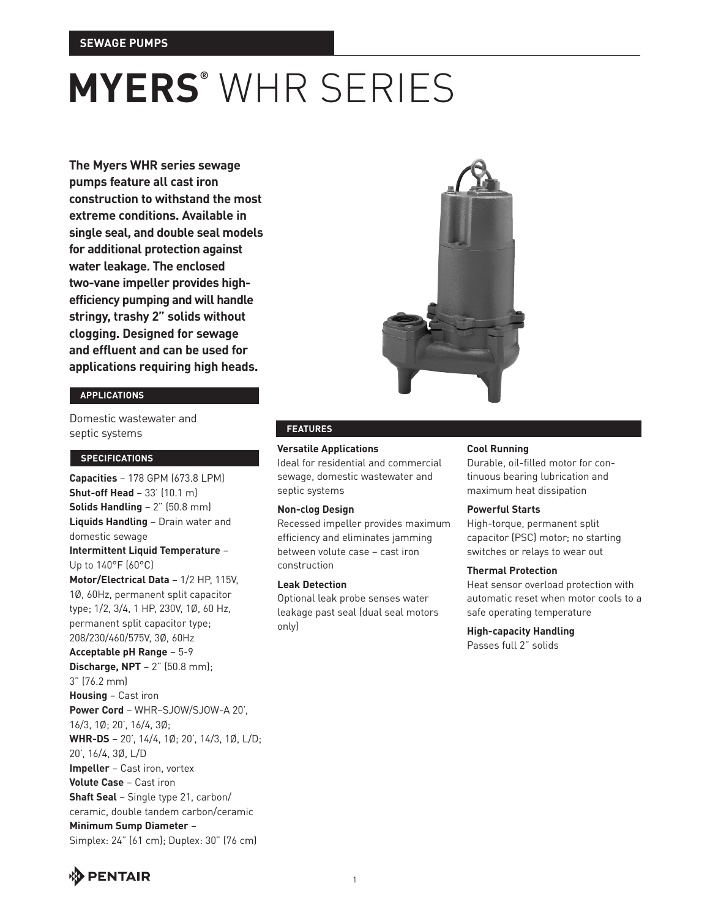**The Myers WHR series sewage pumps feature all cast iron construction to withstand the most extreme conditions. Available in single seal, and double seal models for additional protection against water leakage. The enclosed two-vane impeller provides highefficiency pumping and will handle stringy, trashy 2" solids without clogging. Designed for sewage and effluent and can be used for applications requiring high heads.**

## **applications**

Domestic wastewater and septic systems

## **specifications**

**Capacities** – 178 GPM (673.8 LPM) **Shut-off Head** – 33' (10.1 m) **Solids Handling** – 2" (50.8 mm) **Liquids Handling** – Drain water and domestic sewage **Intermittent Liquid Temperature** – Up to 140°F (60°C) **Motor/Electrical Data** – 1/2 HP, 115V, 1Ø, 60Hz, permanent split capacitor type; 1/2, 3/4, 1 HP, 230V, 1Ø, 60 Hz, permanent split capacitor type; 208/230/460/575V, 3Ø, 60Hz **Acceptable pH Range** – 5-9 **Discharge, NPT** – 2" (50.8 mm); 3" (76.2 mm) **Housing** – Cast iron **Power Cord** – WHR–SJOW/SJOW-A 20', 16/3, 1Ø; 20', 16/4, 3Ø; **WHR-DS** – 20', 14/4, 1Ø; 20', 14/3, 1Ø, L/D; 20', 16/4, 3Ø, L/D **Impeller** – Cast iron, vortex **Volute Case** – Cast iron **Shaft Seal** – Single type 21, carbon/ ceramic, double tandem carbon/ceramic **Minimum Sump Diameter** – Simplex: 24" (61 cm); Duplex: 30" (76 cm)



### **features**

#### **Versatile Applications**

Ideal for residential and commercial sewage, domestic wastewater and septic systems

#### **Non-clog Design**

Recessed impeller provides maximum efficiency and eliminates jamming between volute case – cast iron construction

#### **Leak Detection**

Optional leak probe senses water leakage past seal (dual seal motors only)

#### **Cool Running**

Durable, oil-filled motor for continuous bearing lubrication and maximum heat dissipation

#### **Powerful Starts**

High-torque, permanent split capacitor (PSC) motor; no starting switches or relays to wear out

#### **Thermal Protection**

Heat sensor overload protection with automatic reset when motor cools to a safe operating temperature

### **High-capacity Handling**

Passes full 2" solids

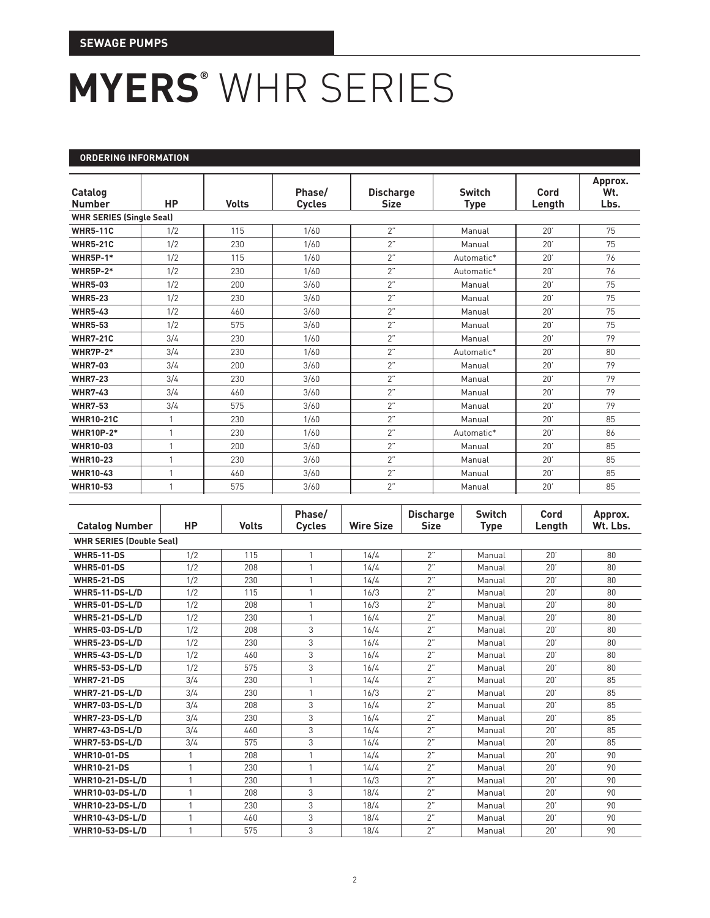### **ordering information**

| Catalog<br><b>Number</b>        | <b>HP</b> | <b>Volts</b> | Phase/<br><b>Cycles</b> | <b>Discharge</b><br><b>Size</b> | <b>Switch</b><br><b>Type</b> | Cord<br>Length | Approx.<br>Wt.<br>Lbs. |
|---------------------------------|-----------|--------------|-------------------------|---------------------------------|------------------------------|----------------|------------------------|
| <b>WHR SERIES (Single Seal)</b> |           |              |                         |                                 |                              |                |                        |
| <b>WHR5-11C</b>                 | 1/2       | 115          | 1/60                    | 2"                              | Manual                       | 20'            | 75                     |
| <b>WHR5-21C</b>                 | 1/2       | 230          | 1/60                    | 2"                              | Manual                       | 20'            | 75                     |
| <b>WHR5P-1*</b>                 | 1/2       | 115          | 1/60                    | 2"                              | Automatic*                   | 20'            | 76                     |
| <b>WHR5P-2*</b>                 | 1/2       | 230          | 1/60                    | 2"                              | Automatic*                   | 20'            | 76                     |
| <b>WHR5-03</b>                  | 1/2       | 200          | 3/60                    | 2"                              | Manual                       | 20'            | 75                     |
| <b>WHR5-23</b>                  | 1/2       | 230          | 3/60                    | 2"                              | Manual                       | 20'            | 75                     |
| <b>WHR5-43</b>                  | 1/2       | 460          | 3/60                    | 2"                              | Manual                       | 20'            | 75                     |
| <b>WHR5-53</b>                  | 1/2       | 575          | 3/60                    | 2"                              | Manual                       | 20'            | 75                     |
| <b>WHR7-21C</b>                 | 3/4       | 230          | 1/60                    | 2"                              | Manual                       | 20'            | 79                     |
| <b>WHR7P-2*</b>                 | 3/4       | 230          | 1/60                    | 2"                              | Automatic*                   | 20'            | 80                     |
| <b>WHR7-03</b>                  | 3/4       | 200          | 3/60                    | 2"                              | Manual                       | 20'            | 79                     |
| <b>WHR7-23</b>                  | 3/4       | 230          | 3/60                    | 2"                              | Manual                       | 20'            | 79                     |
| <b>WHR7-43</b>                  | 3/4       | 460          | 3/60                    | 2"                              | Manual                       | 20'            | 79                     |
| <b>WHR7-53</b>                  | 3/4       | 575          | 3/60                    | 2"                              | Manual                       | 20'            | 79                     |
| <b>WHR10-21C</b>                |           | 230          | 1/60                    | 2"                              | Manual                       | 20'            | 85                     |
| <b>WHR10P-2*</b>                | 1         | 230          | 1/60                    | 2"                              | Automatic*                   | 20'            | 86                     |
| WHR10-03                        | 1         | 200          | 3/60                    | 2"                              | Manual                       | 20'            | 85                     |
| <b>WHR10-23</b>                 | 1         | 230          | 3/60                    | 2"                              | Manual                       | 20'            | 85                     |
| <b>WHR10-43</b>                 |           | 460          | 3/60                    | 2"                              | Manual                       | 20'            | 85                     |
| <b>WHR10-53</b>                 |           | 575          | 3/60                    | 2"                              | Manual                       | 20'            | 85                     |

| <b>Catalog Number</b>           | <b>HP</b>      | <b>Volts</b> | Phase/<br><b>Cycles</b> | <b>Wire Size</b> | <b>Discharge</b><br><b>Size</b> | <b>Switch</b><br>Type | Cord<br>Length | Approx.<br>Wt. Lbs. |
|---------------------------------|----------------|--------------|-------------------------|------------------|---------------------------------|-----------------------|----------------|---------------------|
| <b>WHR SERIES (Double Seal)</b> |                |              |                         |                  |                                 |                       |                |                     |
| <b>WHR5-11-DS</b>               | 1/2            | 115          | $\mathbf{1}$            | 14/4             | 2"                              | Manual                | 20'            | 80                  |
| <b>WHR5-01-DS</b>               | 1/2            | 208          | $\mathbf{1}$            | 14/4             | 2"                              | Manual                | 20'            | 80                  |
| <b>WHR5-21-DS</b>               | 1/2            | 230          | $\mathbf{1}$            | 14/4             | 2"                              | Manual                | 20'            | 80                  |
| <b>WHR5-11-DS-L/D</b>           | 1/2            | 115          | $\mathbf{1}$            | 16/3             | 2"                              | Manual                | 20'            | 80                  |
| <b>WHR5-01-DS-L/D</b>           | 1/2            | 208          | $\mathbf{1}$            | 16/3             | 2"                              | Manual                | 20'            | 80                  |
| <b>WHR5-21-DS-L/D</b>           | 1/2            | 230          | $\mathbf{1}$            | 16/4             | 2"                              | Manual                | 20'            | 80                  |
| <b>WHR5-03-DS-L/D</b>           | 1/2            | 208          | 3                       | 16/4             | 2"                              | Manual                | 20'            | 80                  |
| <b>WHR5-23-DS-L/D</b>           | 1/2            | 230          | 3                       | 16/4             | 2"                              | Manual                | 20'            | 80                  |
| <b>WHR5-43-DS-L/D</b>           | 1/2            | 460          | 3                       | 16/4             | 2"                              | Manual                | 20'            | 80                  |
| <b>WHR5-53-DS-L/D</b>           | 1/2            | 575          | 3                       | 16/4             | 2"                              | Manual                | 20'            | 80                  |
| <b>WHR7-21-DS</b>               | 3/4            | 230          | $\mathbf{1}$            | 14/4             | 2"                              | Manual                | 20'            | 85                  |
| <b>WHR7-21-DS-L/D</b>           | 3/4            | 230          | $\mathbf{1}$            | 16/3             | 2"                              | Manual                | 20'            | 85                  |
| <b>WHR7-03-DS-L/D</b>           | 3/4            | 208          | 3                       | 16/4             | 2"                              | Manual                | 20'            | 85                  |
| <b>WHR7-23-DS-L/D</b>           | 3/4            | 230          | 3                       | 16/4             | 2"                              | Manual                | 20'            | 85                  |
| <b>WHR7-43-DS-L/D</b>           | 3/4            | 460          | 3                       | 16/4             | 2"                              | Manual                | 20'            | 85                  |
| <b>WHR7-53-DS-L/D</b>           | 3/4            | 575          | 3                       | 16/4             | 2"                              | Manual                | 20'            | 85                  |
| <b>WHR10-01-DS</b>              | 1              | 208          | $\mathbf{1}$            | 14/4             | 2"                              | Manual                | 20'            | 90                  |
| <b>WHR10-21-DS</b>              | 1              | 230          | $\mathbf{1}$            | 14/4             | 2"                              | Manual                | 20'            | 90                  |
| <b>WHR10-21-DS-L/D</b>          | $\overline{1}$ | 230          | $\mathbf{1}$            | 16/3             | 2"                              | Manual                | 20'            | 90                  |
| <b>WHR10-03-DS-L/D</b>          | 1              | 208          | 3                       | 18/4             | 2"                              | Manual                | 20'            | 90                  |
| <b>WHR10-23-DS-L/D</b>          | $\mathbf{1}$   | 230          | 3                       | 18/4             | 2"                              | Manual                | 20'            | 90                  |
| <b>WHR10-43-DS-L/D</b>          | $\mathbf{1}$   | 460          | 3                       | 18/4             | 2"                              | Manual                | 20'            | 90                  |
| WHR10-53-DS-L/D                 |                | 575          | 3                       | 18/4             | 2"                              | Manual                | 20'            | 90                  |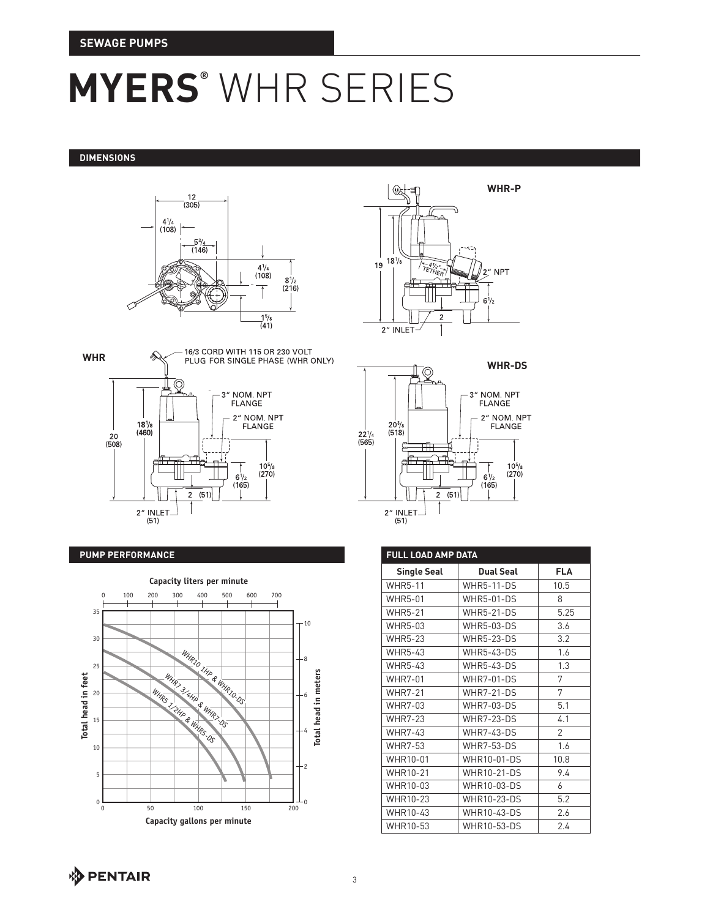#### **DIMENSIONS**





#### **PUMP PERFORMANCE**







| <b>FULL LOAD AMP DATA</b> |                    |                |  |  |  |
|---------------------------|--------------------|----------------|--|--|--|
| <b>Single Seal</b>        | <b>Dual Seal</b>   | <b>FLA</b>     |  |  |  |
| <b>WHR5-11</b>            | <b>WHR5-11-DS</b>  | 10.5           |  |  |  |
| <b>WHR5-01</b>            | <b>WHR5-01-DS</b>  | 8              |  |  |  |
| <b>WHR5-21</b>            | <b>WHR5-21-DS</b>  | 5.25           |  |  |  |
| <b>WHR5-03</b>            | <b>WHR5-03-DS</b>  | 3.6            |  |  |  |
| <b>WHR5-23</b>            | <b>WHR5-23-DS</b>  | 3.2            |  |  |  |
| <b>WHR5-43</b>            | <b>WHR5-43-DS</b>  | 1.6            |  |  |  |
| <b>WHR5-43</b>            | <b>WHR5-43-DS</b>  | 1.3            |  |  |  |
| <b>WHR7-01</b>            | <b>WHR7-01-DS</b>  | 7              |  |  |  |
| <b>WHR7-21</b>            | <b>WHR7-21-DS</b>  | 7              |  |  |  |
| <b>WHR7-03</b>            | <b>WHR7-03-DS</b>  | 5.1            |  |  |  |
| <b>WHR7-23</b>            | <b>WHR7-23-DS</b>  | 4.1            |  |  |  |
| <b>WHR7-43</b>            | <b>WHR7-43-DS</b>  | $\overline{2}$ |  |  |  |
| <b>WHR7-53</b>            | <b>WHR7-53-DS</b>  | 16             |  |  |  |
| WHR10-01                  | WHR10-01-DS        | 10.8           |  |  |  |
| WHR10-21                  | <b>WHR10-21-DS</b> | 9.4            |  |  |  |
| WHR10-03                  | WHR10-03-DS        | 6              |  |  |  |
| WHR10-23                  | WHR10-23-DS        | 5.2            |  |  |  |
| WHR10-43                  | WHR10-43-DS        | 2.6            |  |  |  |
| WHR10-53                  | WHR10-53-DS        | 24             |  |  |  |